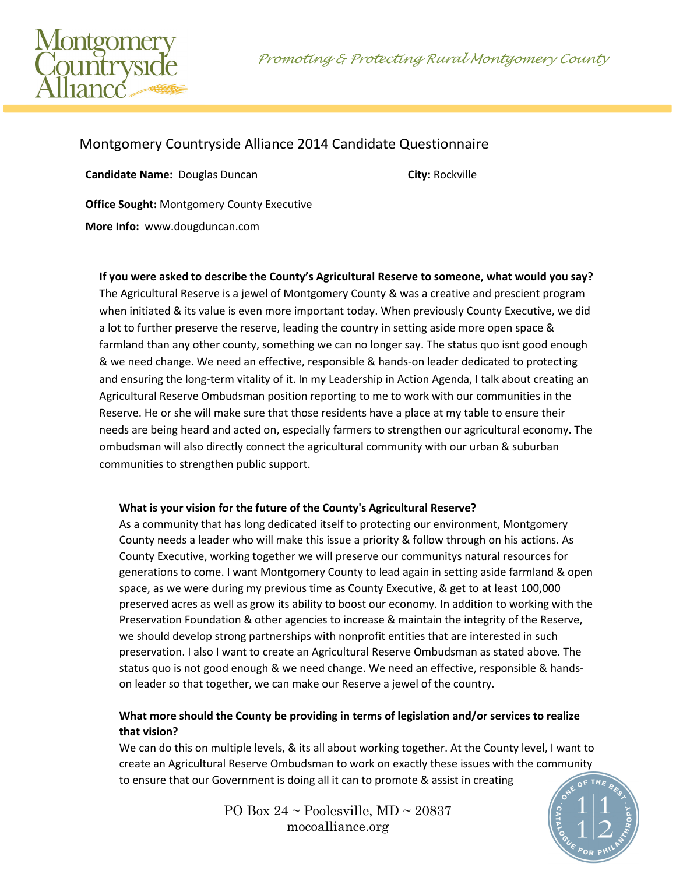Promoting & Protecting Rural Montgomery County



# Montgomery Countryside Alliance 2014 Candidate Questionnaire

**Candidate Name:** Douglas Duncan **City: Rockville** 

**Office Sought:** Montgomery County Executive

**More Info:** www.dougduncan.com

**If you were asked to describe the County's Agricultural Reserve to someone, what would you say?** The Agricultural Reserve is a jewel of Montgomery County & was a creative and prescient program when initiated & its value is even more important today. When previously County Executive, we did a lot to further preserve the reserve, leading the country in setting aside more open space & farmland than any other county, something we can no longer say. The status quo isnt good enough & we need change. We need an effective, responsible & hands-on leader dedicated to protecting and ensuring the long-term vitality of it. In my Leadership in Action Agenda, I talk about creating an Agricultural Reserve Ombudsman position reporting to me to work with our communities in the Reserve. He or she will make sure that those residents have a place at my table to ensure their needs are being heard and acted on, especially farmers to strengthen our agricultural economy. The ombudsman will also directly connect the agricultural community with our urban & suburban communities to strengthen public support.

### **What is your vision for the future of the County's Agricultural Reserve?**

As a community that has long dedicated itself to protecting our environment, Montgomery County needs a leader who will make this issue a priority & follow through on his actions. As County Executive, working together we will preserve our communitys natural resources for generations to come. I want Montgomery County to lead again in setting aside farmland & open space, as we were during my previous time as County Executive, & get to at least 100,000 preserved acres as well as grow its ability to boost our economy. In addition to working with the Preservation Foundation & other agencies to increase & maintain the integrity of the Reserve, we should develop strong partnerships with nonprofit entities that are interested in such preservation. I also I want to create an Agricultural Reserve Ombudsman as stated above. The status quo is not good enough & we need change. We need an effective, responsible & handson leader so that together, we can make our Reserve a jewel of the country.

## **What more should the County be providing in terms of legislation and/or services to realize that vision?**

We can do this on multiple levels, & its all about working together. At the County level, I want to create an Agricultural Reserve Ombudsman to work on exactly these issues with the community to ensure that our Government is doing all it can to promote & assist in creating

> PO Box  $24 \sim$  Poolesville, MD  $\sim$  20837 mocoalliance.org

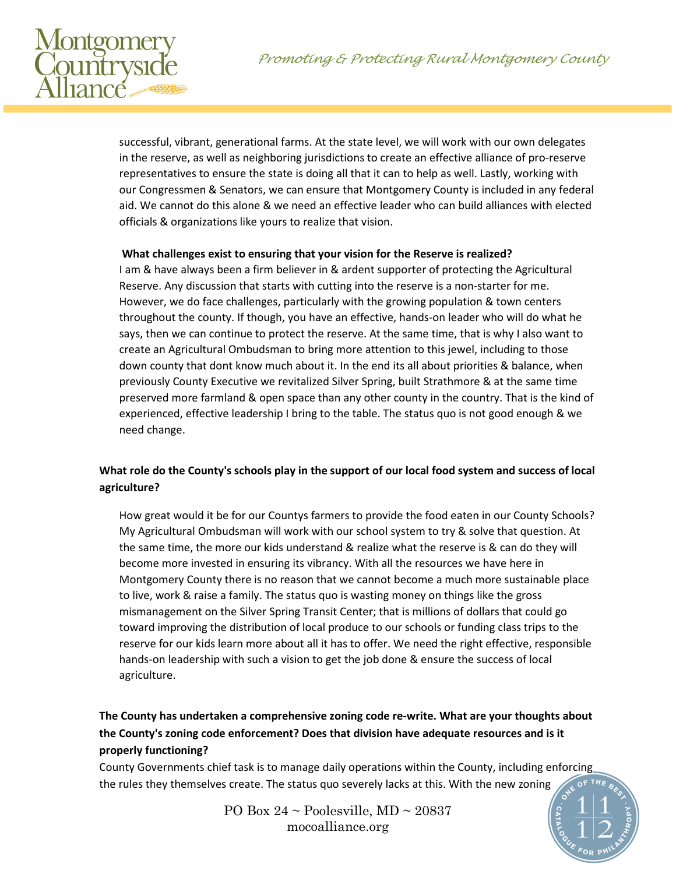

successful, vibrant, generational farms. At the state level, we will work with our own delegates in the reserve, as well as neighboring jurisdictions to create an effective alliance of pro-reserve representatives to ensure the state is doing all that it can to help as well. Lastly, working with our Congressmen & Senators, we can ensure that Montgomery County is included in any federal aid. We cannot do this alone & we need an effective leader who can build alliances with elected officials & organizations like yours to realize that vision.

#### **What challenges exist to ensuring that your vision for the Reserve is realized?**

I am & have always been a firm believer in & ardent supporter of protecting the Agricultural Reserve. Any discussion that starts with cutting into the reserve is a non-starter for me. However, we do face challenges, particularly with the growing population & town centers throughout the county. If though, you have an effective, hands-on leader who will do what he says, then we can continue to protect the reserve. At the same time, that is why I also want to create an Agricultural Ombudsman to bring more attention to this jewel, including to those down county that dont know much about it. In the end its all about priorities & balance, when previously County Executive we revitalized Silver Spring, built Strathmore & at the same time preserved more farmland & open space than any other county in the country. That is the kind of experienced, effective leadership I bring to the table. The status quo is not good enough & we need change.

### **What role do the County's schools play in the support of our local food system and success of local agriculture?**

How great would it be for our Countys farmers to provide the food eaten in our County Schools? My Agricultural Ombudsman will work with our school system to try & solve that question. At the same time, the more our kids understand & realize what the reserve is & can do they will become more invested in ensuring its vibrancy. With all the resources we have here in Montgomery County there is no reason that we cannot become a much more sustainable place to live, work & raise a family. The status quo is wasting money on things like the gross mismanagement on the Silver Spring Transit Center; that is millions of dollars that could go toward improving the distribution of local produce to our schools or funding class trips to the reserve for our kids learn more about all it has to offer. We need the right effective, responsible hands-on leadership with such a vision to get the job done & ensure the success of local agriculture.

# **The County has undertaken a comprehensive zoning code re-write. What are your thoughts about the County's zoning code enforcement? Does that division have adequate resources and is it properly functioning?**

County Governments chief task is to manage daily operations within the County, including enforcing the rules they themselves create. The status quo severely lacks at this. With the new zoning

> PO Box  $24 \sim$  Poolesville, MD  $\sim$  20837 mocoalliance.org